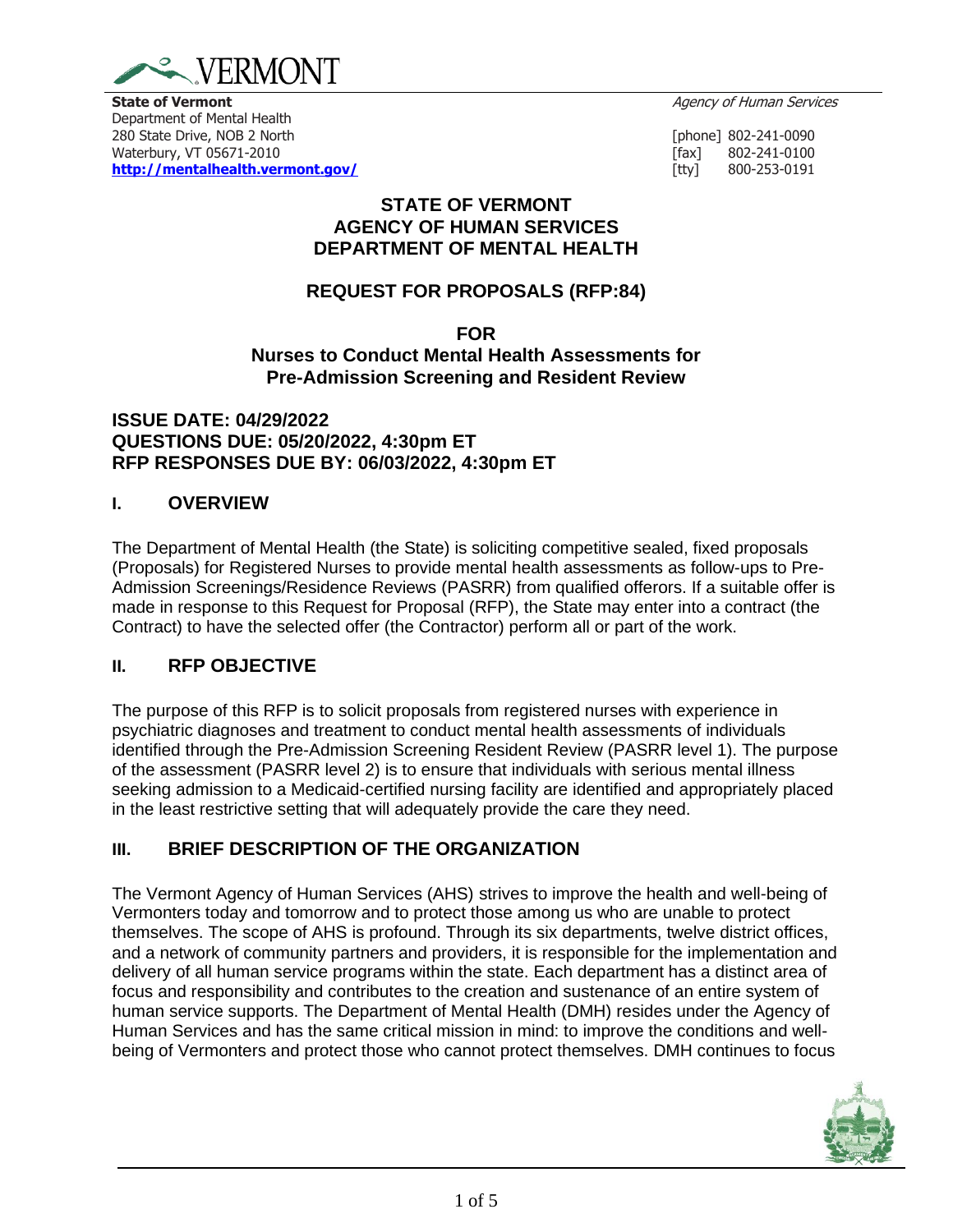

**State of Vermont** Agency of Human Services **Contract Agency of Human Services** 

Department of Mental Health 280 State Drive, NOB 2 North[phone] 802-241-0090 Waterbury, VT 05671-2010 **and 1990 and 1991** control to the set of the set of the set of the set of the set of the set of the set of the set of the set of the set of the set of the set of the set of the set of the set of t **<http://mentalhealth.vermont.gov/>** [tty] 800-253-0191

### **STATE OF VERMONT AGENCY OF HUMAN SERVICES DEPARTMENT OF MENTAL HEALTH**

# **REQUEST FOR PROPOSALS (RFP:84)**

**FOR Nurses to Conduct Mental Health Assessments for Pre-Admission Screening and Resident Review**

#### **ISSUE DATE: 04/29/2022 QUESTIONS DUE: 05/20/2022, 4:30pm ET RFP RESPONSES DUE BY: 06/03/2022, 4:30pm ET**

### **I. OVERVIEW**

The Department of Mental Health (the State) is soliciting competitive sealed, fixed proposals (Proposals) for Registered Nurses to provide mental health assessments as follow-ups to Pre-Admission Screenings/Residence Reviews (PASRR) from qualified offerors. If a suitable offer is made in response to this Request for Proposal (RFP), the State may enter into a contract (the Contract) to have the selected offer (the Contractor) perform all or part of the work.

### **II. RFP OBJECTIVE**

The purpose of this RFP is to solicit proposals from registered nurses with experience in psychiatric diagnoses and treatment to conduct mental health assessments of individuals identified through the Pre-Admission Screening Resident Review (PASRR level 1). The purpose of the assessment (PASRR level 2) is to ensure that individuals with serious mental illness seeking admission to a Medicaid-certified nursing facility are identified and appropriately placed in the least restrictive setting that will adequately provide the care they need.

# **III. BRIEF DESCRIPTION OF THE ORGANIZATION**

The Vermont Agency of Human Services (AHS) strives to improve the health and well-being of Vermonters today and tomorrow and to protect those among us who are unable to protect themselves. The scope of AHS is profound. Through its six departments, twelve district offices, and a network of community partners and providers, it is responsible for the implementation and delivery of all human service programs within the state. Each department has a distinct area of focus and responsibility and contributes to the creation and sustenance of an entire system of human service supports. The Department of Mental Health (DMH) resides under the Agency of Human Services and has the same critical mission in mind: to improve the conditions and wellbeing of Vermonters and protect those who cannot protect themselves. DMH continues to focus

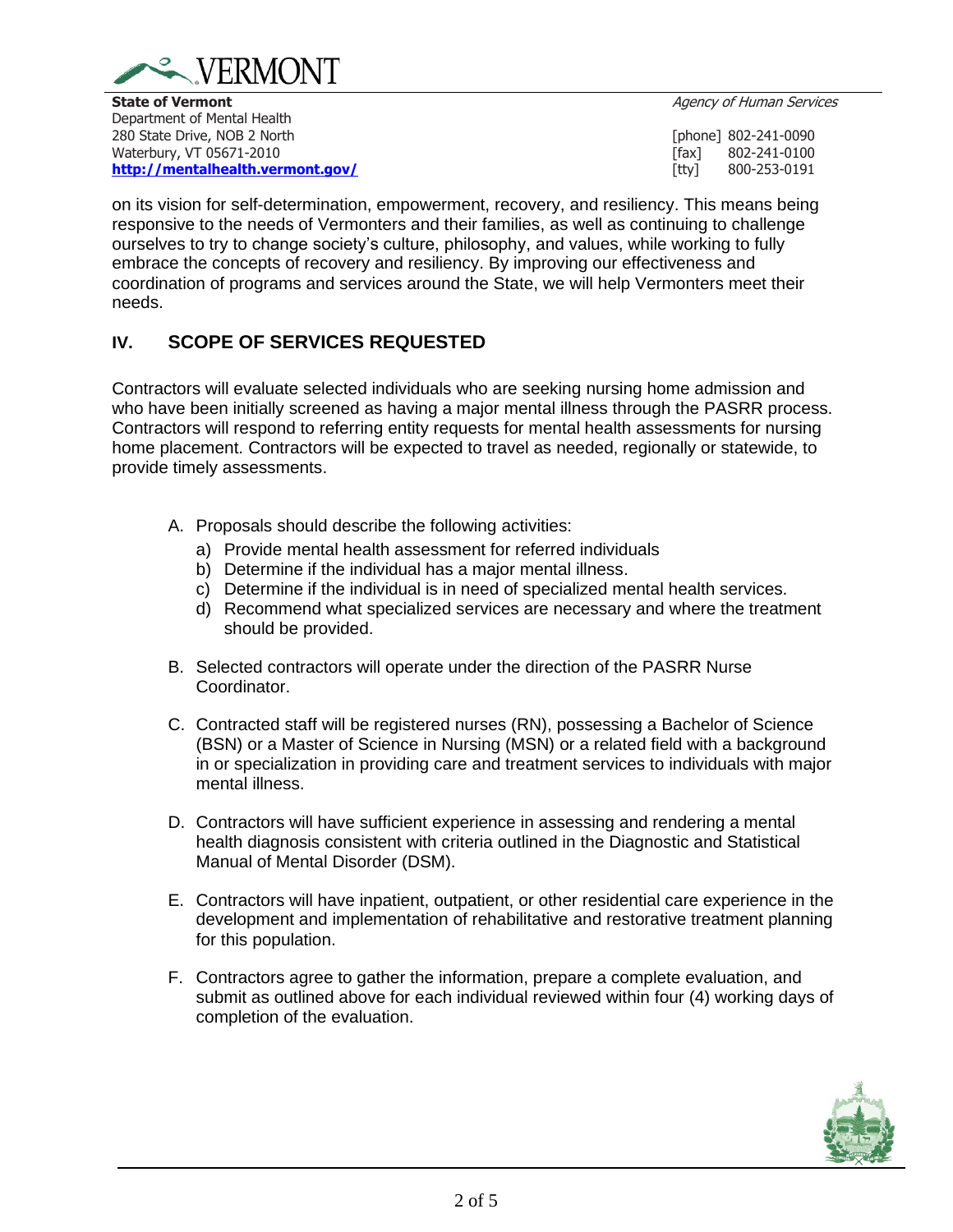

**State of Vermont** Agency of Human Services **Contract Agency of Human Services** Department of Mental Health 280 State Drive, NOB 2 North[phone] 802-241-0090 Waterbury, VT 05671-2010 **and 1990 and 1991** control to the set of the set of the set of the set of the set of the set of the set of the set of the set of the set of the set of the set of the set of the set of the set of t **<http://mentalhealth.vermont.gov/>** [tty] 800-253-0191

on its vision for self-determination, empowerment, recovery, and resiliency. This means being responsive to the needs of Vermonters and their families, as well as continuing to challenge ourselves to try to change society's culture, philosophy, and values, while working to fully embrace the concepts of recovery and resiliency. By improving our effectiveness and coordination of programs and services around the State, we will help Vermonters meet their needs.

### **IV. SCOPE OF SERVICES REQUESTED**

Contractors will evaluate selected individuals who are seeking nursing home admission and who have been initially screened as having a major mental illness through the PASRR process. Contractors will respond to referring entity requests for mental health assessments for nursing home placement. Contractors will be expected to travel as needed, regionally or statewide, to provide timely assessments.

- A. Proposals should describe the following activities:
	- a) Provide mental health assessment for referred individuals
	- b) Determine if the individual has a major mental illness.
	- c) Determine if the individual is in need of specialized mental health services.
	- d) Recommend what specialized services are necessary and where the treatment should be provided.
- B. Selected contractors will operate under the direction of the PASRR Nurse Coordinator.
- C. Contracted staff will be registered nurses (RN), possessing a Bachelor of Science (BSN) or a Master of Science in Nursing (MSN) or a related field with a background in or specialization in providing care and treatment services to individuals with major mental illness.
- D. Contractors will have sufficient experience in assessing and rendering a mental health diagnosis consistent with criteria outlined in the Diagnostic and Statistical Manual of Mental Disorder (DSM).
- E. Contractors will have inpatient, outpatient, or other residential care experience in the development and implementation of rehabilitative and restorative treatment planning for this population.
- F. Contractors agree to gather the information, prepare a complete evaluation, and submit as outlined above for each individual reviewed within four (4) working days of completion of the evaluation.

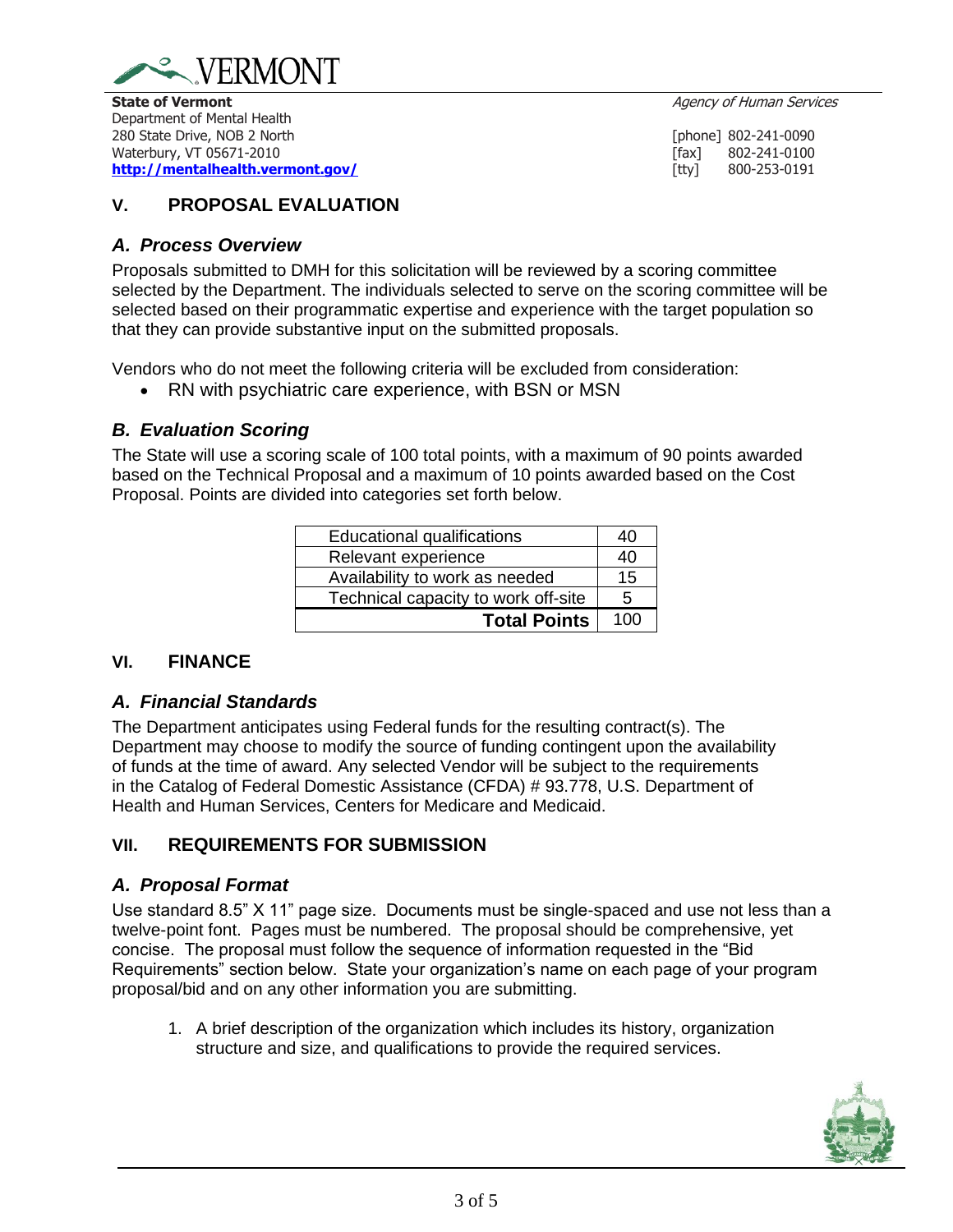

**State of Vermont** Agency of Human Services **Contract Agency of Human Services** Department of Mental Health 280 State Drive, NOB 2 North[phone] 802-241-0090 Waterbury, VT 05671-2010 **and 1990 and 1991** control to the set of the set of the set of the set of the set of the set of the set of the set of the set of the set of the set of the set of the set of the set of the set of t **<http://mentalhealth.vermont.gov/>** [tty] 800-253-0191

## **V. PROPOSAL EVALUATION**

#### *A. Process Overview*

Proposals submitted to DMH for this solicitation will be reviewed by a scoring committee selected by the Department. The individuals selected to serve on the scoring committee will be selected based on their programmatic expertise and experience with the target population so that they can provide substantive input on the submitted proposals.

Vendors who do not meet the following criteria will be excluded from consideration:

• RN with psychiatric care experience, with BSN or MSN

### *B. Evaluation Scoring*

The State will use a scoring scale of 100 total points, with a maximum of 90 points awarded based on the Technical Proposal and a maximum of 10 points awarded based on the Cost Proposal. Points are divided into categories set forth below.

| <b>Educational qualifications</b>   | 40  |
|-------------------------------------|-----|
| Relevant experience                 | 40  |
| Availability to work as needed      | 15  |
| Technical capacity to work off-site | 5   |
| <b>Total Points</b>                 | 100 |

### **VI. FINANCE**

### *A. Financial Standards*

The Department anticipates using Federal funds for the resulting contract(s). The Department may choose to modify the source of funding contingent upon the availability of funds at the time of award. Any selected Vendor will be subject to the requirements in the Catalog of Federal Domestic Assistance (CFDA) # 93.778, U.S. Department of Health and Human Services, Centers for Medicare and Medicaid.

### **VII. REQUIREMENTS FOR SUBMISSION**

### *A. Proposal Format*

Use standard 8.5" X 11" page size. Documents must be single-spaced and use not less than a twelve-point font. Pages must be numbered. The proposal should be comprehensive, yet concise. The proposal must follow the sequence of information requested in the "Bid Requirements" section below. State your organization's name on each page of your program proposal/bid and on any other information you are submitting.

1. A brief description of the organization which includes its history, organization structure and size, and qualifications to provide the required services.

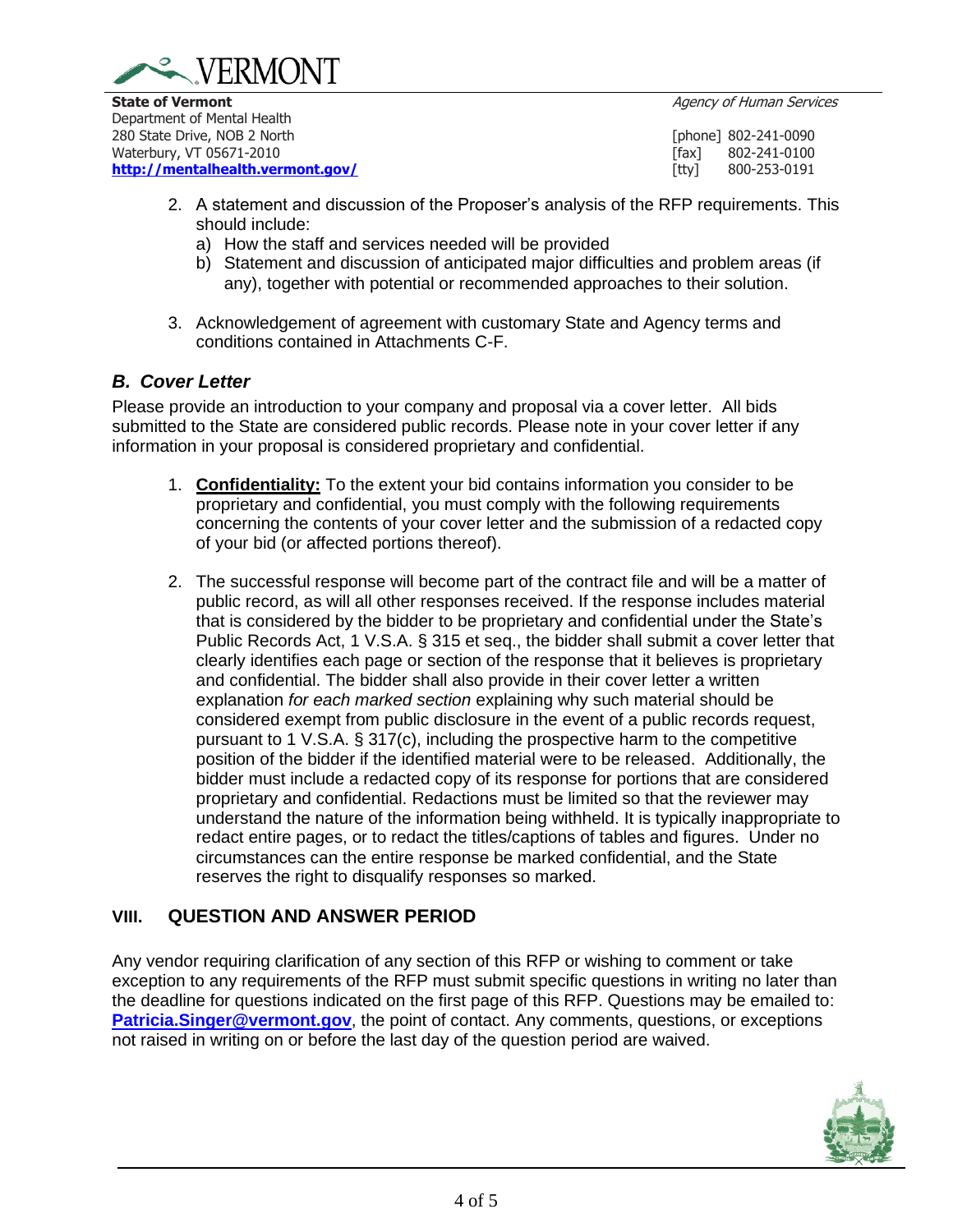



Department of Mental Health 280 State Drive, NOB 2 North[phone] 802-241-0090 Waterbury, VT 05671-2010 **and 1990 and 1991** control to the set of the set of the set of the set of the set of the set of the set of the set of the set of the set of the set of the set of the set of the set of the set of t **<http://mentalhealth.vermont.gov/>** [tty] 800-253-0191

- 2. A statement and discussion of the Proposer's analysis of the RFP requirements. This should include:
	- a) How the staff and services needed will be provided
	- b) Statement and discussion of anticipated major difficulties and problem areas (if any), together with potential or recommended approaches to their solution.
- 3. Acknowledgement of agreement with customary State and Agency terms and conditions contained in Attachments C-F.

# *B. Cover Letter*

Please provide an introduction to your company and proposal via a cover letter. All bids submitted to the State are considered public records. Please note in your cover letter if any information in your proposal is considered proprietary and confidential.

- 1. **Confidentiality:** To the extent your bid contains information you consider to be proprietary and confidential, you must comply with the following requirements concerning the contents of your cover letter and the submission of a redacted copy of your bid (or affected portions thereof).
- 2. The successful response will become part of the contract file and will be a matter of public record, as will all other responses received. If the response includes material that is considered by the bidder to be proprietary and confidential under the State's Public Records Act, 1 V.S.A. § 315 et seq., the bidder shall submit a cover letter that clearly identifies each page or section of the response that it believes is proprietary and confidential. The bidder shall also provide in their cover letter a written explanation *for each marked section* explaining why such material should be considered exempt from public disclosure in the event of a public records request, pursuant to 1 V.S.A. § 317(c), including the prospective harm to the competitive position of the bidder if the identified material were to be released. Additionally, the bidder must include a redacted copy of its response for portions that are considered proprietary and confidential. Redactions must be limited so that the reviewer may understand the nature of the information being withheld. It is typically inappropriate to redact entire pages, or to redact the titles/captions of tables and figures. Under no circumstances can the entire response be marked confidential, and the State reserves the right to disqualify responses so marked.

# **VIII. QUESTION AND ANSWER PERIOD**

Any vendor requiring clarification of any section of this RFP or wishing to comment or take exception to any requirements of the RFP must submit specific questions in writing no later than the deadline for questions indicated on the first page of this RFP. Questions may be emailed to: **[Patricia.Singer@vermont.gov](mailto:Patricia.Singer@vermont.gov)**, the point of contact. Any comments, questions, or exceptions not raised in writing on or before the last day of the question period are waived.